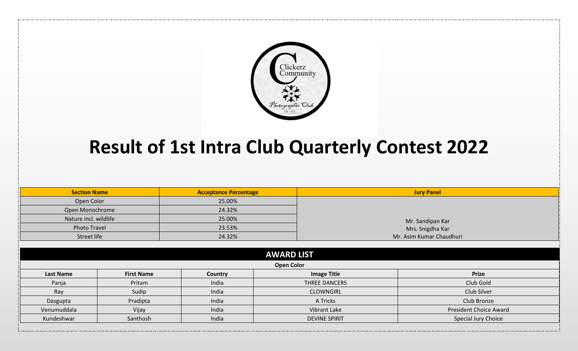

## **Result of 1st Intra Club Quarterly Contest 2022**

| <b>Section Name</b>   |                   | <b>Acceptance Percentage</b> |                      | <b>Jury Panel</b>                    |  |
|-----------------------|-------------------|------------------------------|----------------------|--------------------------------------|--|
| Open Color            |                   | 25.00%                       |                      |                                      |  |
| Open Monochrome       |                   | 24.32%                       |                      |                                      |  |
| Nature incl. wildlife |                   | 25.00%                       |                      | Mr. Sandipan Kar<br>Mrs. Snigdha Kar |  |
| <b>Photo Travel</b>   |                   | 23.53%                       |                      |                                      |  |
| Street life           |                   | 24.32%                       |                      | Mr. Asim Kumar Chaudhuri             |  |
|                       |                   |                              |                      |                                      |  |
|                       |                   |                              | <b>AWARD LIST</b>    |                                      |  |
|                       |                   |                              | <b>Open Color</b>    |                                      |  |
| <b>Last Name</b>      | <b>First Name</b> | Country                      | <b>Image Title</b>   | <b>Prize</b>                         |  |
| Panja                 | Pritam            | India                        | THREE DANCERS        | Club Gold                            |  |
| Ray                   | Sudip             | India                        | <b>CLOWNGIRL</b>     | Club Silver                          |  |
| Dasgupta              | Pradipta<br>India |                              | A Tricks             | Club Bronze                          |  |
| Venumuddala           | India<br>Vijay    |                              | Vibrant Lake         | <b>President Choice Award</b>        |  |
| Kundeshwar            | Santhosh          | India                        | <b>DEVINE SPIRIT</b> | Special Jury Choice                  |  |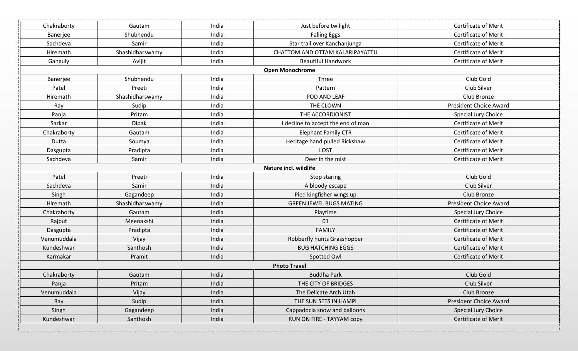| Chakraborty | Gautam          | India | Just before twilight               | <b>Certificate of Merit</b>   |
|-------------|-----------------|-------|------------------------------------|-------------------------------|
| Banerjee    | Shubhendu       | India | <b>Falling Eggs</b>                | <b>Certificate of Merit</b>   |
| Sachdeva    | Samir           | India | Star trail over Kanchanjunga       | <b>Certificate of Merit</b>   |
| Hiremath    | Shashidharswamy | India | CHATTOM AND OTTAM KALARIPAYATTU    | Certificate of Merit          |
| Ganguly     | Avijit          | India | <b>Beautiful Handwork</b>          | <b>Certificate of Merit</b>   |
|             |                 |       | <b>Open Monochrome</b>             |                               |
| Banerjee    | Shubhendu       | India | Three                              | Club Gold                     |
| Patel       | Preeti          | India | Pattern                            | Club Silver                   |
| Hiremath    | Shashidharswamy | India | POD AND LEAF                       | Club Bronze                   |
| Ray         | Sudip           | India | THE CLOWN                          | <b>President Choice Award</b> |
| Panja       | Pritam          | India | THE ACCORDIONIST                   | Special Jury Choice           |
| Sarkar      | <b>Dipak</b>    | India | I decline to accept the end of man | <b>Certificate of Merit</b>   |
| Chakraborty | Gautam          | India | <b>Elephant Family CTR</b>         | <b>Certificate of Merit</b>   |
| Dutta       | Soumya          | India | Heritage hand pulled Rickshaw      | <b>Certificate of Merit</b>   |
| Dasgupta    | Pradipta        | India | LOST                               | <b>Certificate of Merit</b>   |
| Sachdeva    | Samir           | India | Deer in the mist                   | Certificate of Merit          |
|             |                 |       | Nature incl. wildlife              |                               |
| Patel       | Preeti          | India | Stop staring                       | Club Gold                     |
| Sachdeva    | Samir           | India | A bloody escape                    | Club Silver                   |
| Singh       | Gagandeep       | India | Pied kingfisher wings up           | Club Bronze                   |
| Hiremath    | Shashidharswamy | India | <b>GREEN JEWEL BUGS MATING</b>     | <b>President Choice Award</b> |
| Chakraborty | Gautam          | India | Playtime                           | Special Jury Choice           |
| Rajput      | Meenakshi       | India | 01                                 | <b>Certificate of Merit</b>   |
| Dasgupta    | Pradipta        | India | <b>FAMILY</b>                      | <b>Certificate of Merit</b>   |
| Venumuddala | Vijay           | India | Robberfly hunts Grasshopper        | <b>Certificate of Merit</b>   |
| Kundeshwar  | Santhosh        | India | <b>BUG HATCHING EGGS</b>           | <b>Certificate of Merit</b>   |
| Karmakar    | Pramit          | India | Spotted Owl                        | <b>Certificate of Merit</b>   |
|             |                 |       | <b>Photo Travel</b>                |                               |
| Chakraborty | Gautam          | India | <b>Buddha Park</b>                 | Club Gold                     |
| Panja       | Pritam          | India | THE CITY OF BRIDGES                | Club Silver                   |
| Venumuddala | Vijay           | India | The Delicate Arch Utah             | Club Bronze                   |
| Ray         | Sudip           | India | THE SUN SETS IN HAMPI              | <b>President Choice Award</b> |
| Singh       | Gagandeep       | India | Cappadocia snow and balloons       | Special Jury Choice           |
| Kundeshwar  | Santhosh        | India | RUN ON FIRE - TAYYAM copy          | Certificate of Merit          |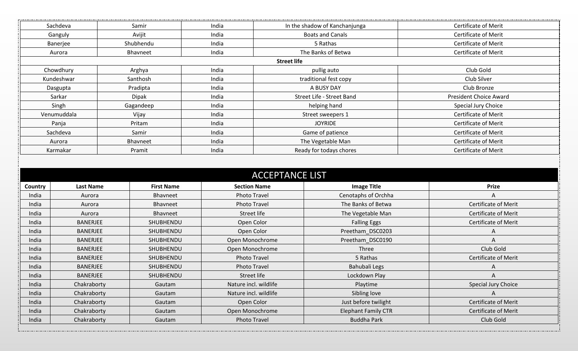|                       |                            |                   |                     |                                        |                                                  | <b>Certificate of Merit</b>              |
|-----------------------|----------------------------|-------------------|---------------------|----------------------------------------|--------------------------------------------------|------------------------------------------|
|                       | Sachdeva                   | Samir             | India               | In the shadow of Kanchanjunga          |                                                  |                                          |
|                       | Avijit<br>Ganguly          |                   | India               | <b>Boats and Canals</b>                |                                                  | <b>Certificate of Merit</b>              |
| Shubhendu<br>Banerjee |                            |                   | India               | 5 Rathas                               |                                                  | <b>Certificate of Merit</b>              |
| Bhavneet<br>Aurora    |                            |                   | India               |                                        | The Banks of Betwa                               | Certificate of Merit                     |
|                       |                            |                   |                     | <b>Street life</b>                     |                                                  |                                          |
|                       | Chowdhury                  | Arghya            | India               |                                        | pullig auto                                      | Club Gold                                |
|                       | Kundeshwar                 | Santhosh          | India               |                                        | traditional fest copy                            | Club Silver                              |
|                       | Dasgupta                   | Pradipta          | India               |                                        | A BUSY DAY                                       | Club Bronze                              |
|                       | Sarkar                     | <b>Dipak</b>      | India               | Street Life - Street Band              |                                                  | <b>President Choice Award</b>            |
|                       | Singh                      | Gagandeep         | India               |                                        | helping hand                                     | Special Jury Choice                      |
|                       | Venumuddala<br>Vijay       |                   | India               |                                        | Street sweepers 1                                | Certificate of Merit                     |
|                       | Panja                      | Pritam            | India               |                                        | <b>JOYRIDE</b>                                   | <b>Certificate of Merit</b>              |
|                       | Sachdeva                   | Samir             | India               |                                        | Game of patience                                 | <b>Certificate of Merit</b>              |
|                       | Aurora                     | Bhavneet          | India               |                                        | The Vegetable Man                                | Certificate of Merit                     |
|                       | Karmakar                   | Pramit            | India               | Ready for todays chores                |                                                  | <b>Certificate of Merit</b>              |
|                       |                            |                   |                     | <b>ACCEPTANCE LIST</b>                 |                                                  |                                          |
| Country               | <b>Last Name</b>           | <b>First Name</b> | <b>Section Name</b> |                                        |                                                  | <b>Prize</b>                             |
| India                 | Aurora                     | Bhavneet          |                     | <b>Photo Travel</b>                    | <b>Image Title</b><br>Cenotaphs of Orchha        | A                                        |
| India                 | Aurora                     | Bhavneet          |                     | <b>Photo Travel</b>                    | The Banks of Betwa                               | Certificate of Merit                     |
| India                 | Aurora                     | Bhavneet          | Street life         |                                        | The Vegetable Man                                | Certificate of Merit                     |
| India                 | <b>BANERJEE</b>            | SHUBHENDU         | Open Color          |                                        | <b>Falling Eggs</b>                              | Certificate of Merit                     |
| India                 | <b>BANERJEE</b>            | SHUBHENDU         | Open Color          |                                        | Preetham DSC0203                                 | A                                        |
| India                 | <b>BANERJEE</b>            | SHUBHENDU         |                     | Open Monochrome                        | Preetham_DSC0190                                 | A                                        |
| India                 | <b>BANERJEE</b>            | SHUBHENDU         |                     | Open Monochrome                        | Three                                            | Club Gold                                |
| India                 | <b>BANERJEE</b>            | SHUBHENDU         |                     | <b>Photo Travel</b>                    | 5 Rathas                                         | Certificate of Merit                     |
| India                 | <b>BANERJEE</b>            | SHUBHENDU         |                     | <b>Photo Travel</b>                    | Bahubali Legs                                    | A                                        |
| India                 | BANERJEE                   | SHUBHENDU         |                     | Street life                            | Lockdown Play                                    | A                                        |
| India                 | Chakraborty                | Gautam            |                     | Nature incl. wildlife                  | Playtime                                         | Special Jury Choice                      |
| India                 | Chakraborty                | Gautam            |                     | Nature incl. wildlife                  | Sibling love                                     | A                                        |
| India                 | Chakraborty                | Gautam            |                     | Open Color                             | Just before twilight                             | <b>Certificate of Merit</b>              |
| India                 | Chakraborty<br>Chakraborty | Gautam            |                     | Open Monochrome<br><b>Photo Travel</b> | <b>Elephant Family CTR</b><br><b>Buddha Park</b> | <b>Certificate of Merit</b><br>Club Gold |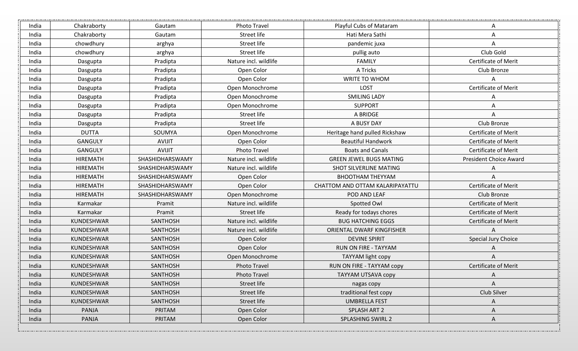| India | Chakraborty     | Gautam          | Photo Travel          | Playful Cubs of Mataram         | A                             |
|-------|-----------------|-----------------|-----------------------|---------------------------------|-------------------------------|
| India | Chakraborty     | Gautam          | Street life           | Hati Mera Sathi                 | Α                             |
| India | chowdhury       | arghya          | Street life           | pandemic juxa                   | Α                             |
| India | chowdhury       | arghya          | Street life           | pullig auto                     | Club Gold                     |
| India | Dasgupta        | Pradipta        | Nature incl. wildlife | <b>FAMILY</b>                   | <b>Certificate of Merit</b>   |
| India | Dasgupta        | Pradipta        | Open Color            | A Tricks                        | Club Bronze                   |
| India | Dasgupta        | Pradipta        | Open Color            | WRITE TO WHOM                   | A                             |
| India | Dasgupta        | Pradipta        | Open Monochrome       | LOST                            | Certificate of Merit          |
| India | Dasgupta        | Pradipta        | Open Monochrome       | <b>SMILING LADY</b>             | A                             |
| India | Dasgupta        | Pradipta        | Open Monochrome       | <b>SUPPORT</b>                  | A                             |
| India | Dasgupta        | Pradipta        | Street life           | A BRIDGE                        | A                             |
| India | Dasgupta        | Pradipta        | Street life           | A BUSY DAY                      | Club Bronze                   |
| India | <b>DUTTA</b>    | SOUMYA          | Open Monochrome       | Heritage hand pulled Rickshaw   | <b>Certificate of Merit</b>   |
| India | <b>GANGULY</b>  | <b>AVIJIT</b>   | Open Color            | <b>Beautiful Handwork</b>       | Certificate of Merit          |
| India | <b>GANGULY</b>  | <b>AVIJIT</b>   | <b>Photo Travel</b>   | <b>Boats and Canals</b>         | <b>Certificate of Merit</b>   |
| India | <b>HIREMATH</b> | SHASHIDHARSWAMY | Nature incl. wildlife | <b>GREEN JEWEL BUGS MATING</b>  | <b>President Choice Award</b> |
| India | <b>HIREMATH</b> | SHASHIDHARSWAMY | Nature incl. wildlife | SHOT SILVERLINE MATING          | Α                             |
| India | <b>HIREMATH</b> | SHASHIDHARSWAMY | Open Color            | <b>BHOOTHAM THEYYAM</b>         | Α                             |
| India | <b>HIREMATH</b> | SHASHIDHARSWAMY | Open Color            | CHATTOM AND OTTAM KALARIPAYATTU | <b>Certificate of Merit</b>   |
| India | <b>HIREMATH</b> | SHASHIDHARSWAMY | Open Monochrome       | POD AND LEAF                    | Club Bronze                   |
| India | Karmakar        | Pramit          | Nature incl. wildlife | Spotted Owl                     | <b>Certificate of Merit</b>   |
| India | Karmakar        | Pramit          | Street life           | Ready for todays chores         | <b>Certificate of Merit</b>   |
| India | KUNDESHWAR      | SANTHOSH        | Nature incl. wildlife | <b>BUG HATCHING EGGS</b>        | <b>Certificate of Merit</b>   |
| India | KUNDESHWAR      | SANTHOSH        | Nature incl. wildlife | ORIENTAL DWARF KINGFISHER       | A                             |
| India | KUNDESHWAR      | <b>SANTHOSH</b> | Open Color            | <b>DEVINE SPIRIT</b>            | Special Jury Choice           |
| India | KUNDESHWAR      | SANTHOSH        | Open Color            | RUN ON FIRE - TAYYAM            |                               |
| India | KUNDESHWAR      | SANTHOSH        | Open Monochrome       | TAYYAM light copy               | A                             |
| India | KUNDESHWAR      | SANTHOSH        | <b>Photo Travel</b>   | RUN ON FIRE - TAYYAM copy       | Certificate of Merit          |
| India | KUNDESHWAR      | SANTHOSH        | <b>Photo Travel</b>   | TAYYAM UTSAVA copy              | $\mathsf{A}$                  |
| India | KUNDESHWAR      | SANTHOSH        | Street life           | nagas copy                      | Α                             |
| India | KUNDESHWAR      | SANTHOSH        | Street life           | traditional fest copy           | Club Silver                   |
| India | KUNDESHWAR      | SANTHOSH        | Street life           | <b>UMBRELLA FEST</b>            | А                             |
| India | PANJA           | PRITAM          | Open Color            | SPLASH ART 2                    | Α                             |
| India | PANJA           | PRITAM          | Open Color            | <b>SPLASHING SWIRL 2</b>        | A                             |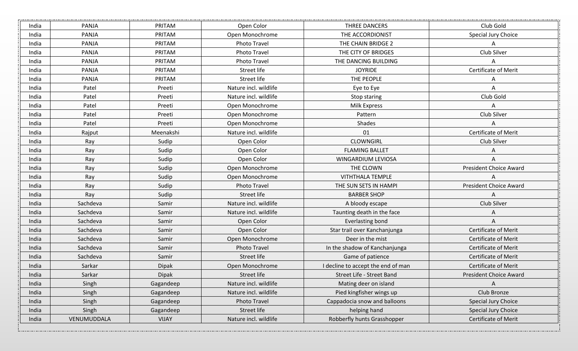| India | PANJA       | PRITAM                    | Open Color            | THREE DANCERS                      | Club Gold                     |
|-------|-------------|---------------------------|-----------------------|------------------------------------|-------------------------------|
| India | PANJA       | PRITAM<br>Open Monochrome |                       | THE ACCORDIONIST                   | Special Jury Choice           |
| India | PANJA       | PRITAM                    | <b>Photo Travel</b>   | THE CHAIN BRIDGE 2                 | Α                             |
| India | PANJA       | PRITAM                    | Photo Travel          | THE CITY OF BRIDGES                | Club Silver                   |
| India | PANJA       | PRITAM                    | <b>Photo Travel</b>   | THE DANCING BUILDING               | Α                             |
| India | PANJA       | PRITAM                    | Street life           | <b>JOYRIDE</b>                     | Certificate of Merit          |
| India | PANJA       | PRITAM                    | Street life           | THE PEOPLE                         | A                             |
| India | Patel       | Preeti                    | Nature incl. wildlife | Eye to Eye                         | Α                             |
| India | Patel       | Preeti                    | Nature incl. wildlife | Stop staring                       | Club Gold                     |
| India | Patel       | Preeti                    | Open Monochrome       | <b>Milk Express</b>                | Α                             |
| India | Patel       | Preeti                    | Open Monochrome       | Pattern                            | Club Silver                   |
| India | Patel       | Preeti                    | Open Monochrome       | Shades                             | Α                             |
| India | Rajput      | Meenakshi                 | Nature incl. wildlife | 01                                 | Certificate of Merit          |
| India | Ray         | Sudip                     | Open Color            | <b>CLOWNGIRL</b>                   | Club Silver                   |
| India | Ray         | Sudip                     | Open Color            | <b>FLAMING BALLET</b>              | А                             |
| India | Ray         | Sudip                     | Open Color            | WINGARDIUM LEVIOSA                 | Α                             |
| India | Ray         | Sudip                     | Open Monochrome       | THE CLOWN                          | <b>President Choice Award</b> |
| India | Ray         | Sudip                     | Open Monochrome       | <b>VITHTHALA TEMPLE</b>            | A                             |
| India | Ray         | Sudip                     | <b>Photo Travel</b>   | THE SUN SETS IN HAMPI              | <b>President Choice Award</b> |
| India | Ray         | Sudip                     | Street life           | <b>BARBER SHOP</b>                 | Α                             |
| India | Sachdeva    | Samir                     | Nature incl. wildlife | A bloody escape                    | Club Silver                   |
| India | Sachdeva    | Samir                     | Nature incl. wildlife | Taunting death in the face         | Α                             |
| India | Sachdeva    | Samir                     | Open Color            | <b>Everlasting bond</b>            | Α                             |
| India | Sachdeva    | Samir                     | Open Color            | Star trail over Kanchanjunga       | Certificate of Merit          |
| India | Sachdeva    | Samir                     | Open Monochrome       | Deer in the mist                   | <b>Certificate of Merit</b>   |
| India | Sachdeva    | Samir                     | <b>Photo Travel</b>   | In the shadow of Kanchanjunga      | <b>Certificate of Merit</b>   |
| India | Sachdeva    | Samir                     | Street life           | Game of patience                   | <b>Certificate of Merit</b>   |
| India | Sarkar      | Dipak                     | Open Monochrome       | I decline to accept the end of man | Certificate of Merit          |
| India | Sarkar      | Dipak                     | Street life           | Street Life - Street Band          | <b>President Choice Award</b> |
| India | Singh       | Gagandeep                 | Nature incl. wildlife | Mating deer on island              | A                             |
| India | Singh       | Gagandeep                 | Nature incl. wildlife | Pied kingfisher wings up           | Club Bronze                   |
| India | Singh       | Gagandeep                 | Photo Travel          | Cappadocia snow and balloons       | Special Jury Choice           |
| India | Singh       | Gagandeep                 | Street life           | helping hand                       | Special Jury Choice           |
| India | VENUMUDDALA | <b>VIJAY</b>              | Nature incl. wildlife | Robberfly hunts Grasshopper        | Certificate of Merit          |